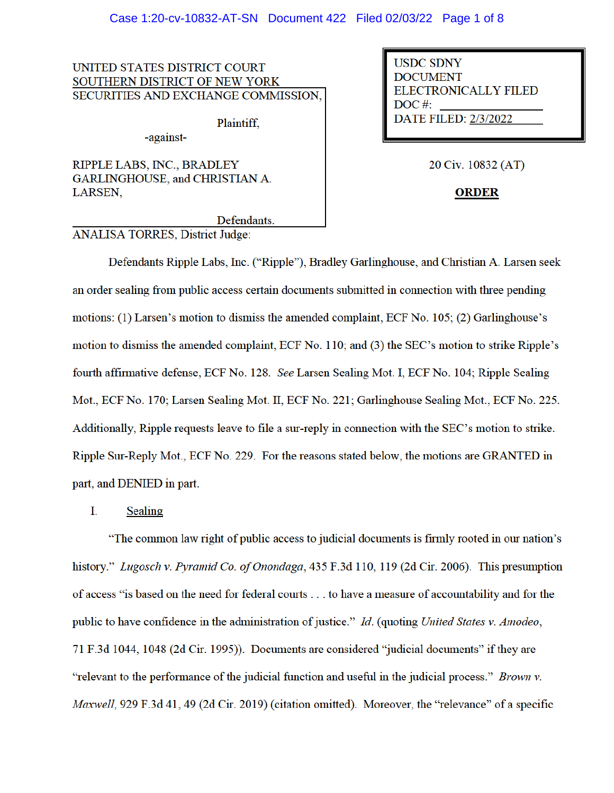### Case 1:20-cv-10832-AT-SN Document 422 Filed 02/03/22 Page 1 of 8

UNITED STATES DISTRICT COURT SOUTHERN DISTRICT OF NEW YORK SECURITIES AND EXCHANGE COMMISSION,

Plaintiff.

RIPPLE LABS, INC., BRADLEY GARLINGHOUSE, and CHRISTIAN A. LARSEN,

-against-

**USDC SDNY DOCUMENT ELECTRONICALLY FILED**  $DOC$ #: **DATE FILED: 2/3/2022** 

20 Civ. 10832 (AT)

**ORDER** 

Defendants.

**ANALISA TORRES, District Judge:** 

Defendants Ripple Labs, Inc. ("Ripple"), Bradley Garlinghouse, and Christian A. Larsen seek an order sealing from public access certain documents submitted in connection with three pending motions: (1) Larsen's motion to dismiss the amended complaint, ECF No. 105; (2) Garlinghouse's motion to dismiss the amended complaint, ECF No. 110; and (3) the SEC's motion to strike Ripple's fourth affirmative defense, ECF No. 128. See Larsen Sealing Mot. I, ECF No. 104; Ripple Sealing Mot., ECF No. 170; Larsen Sealing Mot. II, ECF No. 221; Garlinghouse Sealing Mot., ECF No. 225. Additionally, Ripple requests leave to file a sur-reply in connection with the SEC's motion to strike. Ripple Sur-Reply Mot., ECF No. 229. For the reasons stated below, the motions are GRANTED in part, and DENIED in part.

Ι. Sealing

"The common law right of public access to judicial documents is firmly rooted in our nation's history." Lugosch v. Pyramid Co. of Onondaga, 435 F.3d 110, 119 (2d Cir. 2006). This presumption of access "is based on the need for federal courts . . . to have a measure of accountability and for the public to have confidence in the administration of justice." Id. (quoting United States v. Amodeo, 71 F.3d 1044, 1048 (2d Cir. 1995)). Documents are considered "judicial documents" if they are "relevant to the performance of the judicial function and useful in the judicial process." Brown v. *Maxwell*, 929 F.3d 41, 49 (2d Cir. 2019) (citation omitted). Moreover, the "relevance" of a specific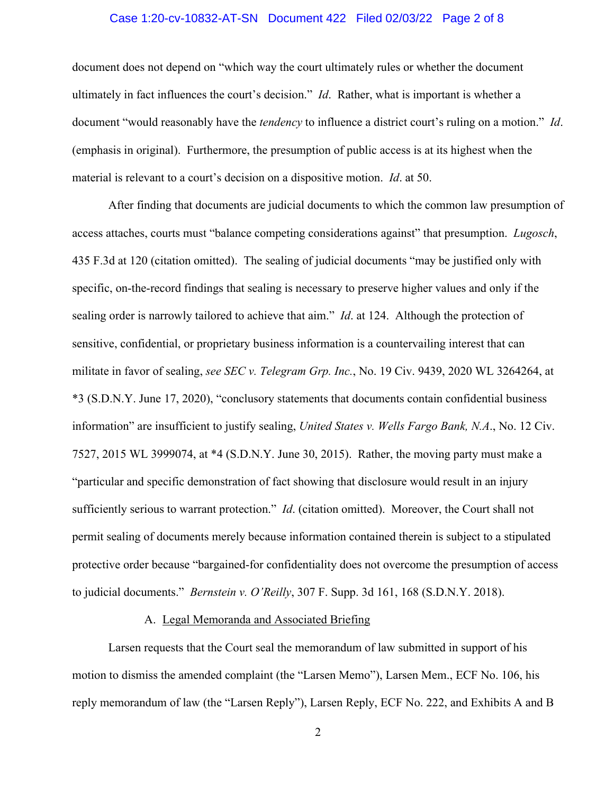### Case 1:20-cv-10832-AT-SN Document 422 Filed 02/03/22 Page 2 of 8

document does not depend on "which way the court ultimately rules or whether the document ultimately in fact influences the court's decision." *Id*. Rather, what is important is whether a document "would reasonably have the *tendency* to influence a district court's ruling on a motion." *Id*. (emphasis in original). Furthermore, the presumption of public access is at its highest when the material is relevant to a court's decision on a dispositive motion. *Id*. at 50.

After finding that documents are judicial documents to which the common law presumption of access attaches, courts must "balance competing considerations against" that presumption. *Lugosch*, 435 F.3d at 120 (citation omitted). The sealing of judicial documents "may be justified only with specific, on-the-record findings that sealing is necessary to preserve higher values and only if the sealing order is narrowly tailored to achieve that aim." *Id*. at 124. Although the protection of sensitive, confidential, or proprietary business information is a countervailing interest that can militate in favor of sealing, *see SEC v. Telegram Grp. Inc.*, No. 19 Civ. 9439, 2020 WL 3264264, at \*3 (S.D.N.Y. June 17, 2020), "conclusory statements that documents contain confidential business information" are insufficient to justify sealing, *United States v. Wells Fargo Bank, N.A*., No. 12 Civ. 7527, 2015 WL 3999074, at \*4 (S.D.N.Y. June 30, 2015). Rather, the moving party must make a "particular and specific demonstration of fact showing that disclosure would result in an injury sufficiently serious to warrant protection." *Id*. (citation omitted). Moreover, the Court shall not permit sealing of documents merely because information contained therein is subject to a stipulated protective order because "bargained-for confidentiality does not overcome the presumption of access to judicial documents." *Bernstein v. O'Reilly*, 307 F. Supp. 3d 161, 168 (S.D.N.Y. 2018).

# A. Legal Memoranda and Associated Briefing

Larsen requests that the Court seal the memorandum of law submitted in support of his motion to dismiss the amended complaint (the "Larsen Memo"), Larsen Mem., ECF No. 106, his reply memorandum of law (the "Larsen Reply"), Larsen Reply, ECF No. 222, and Exhibits A and B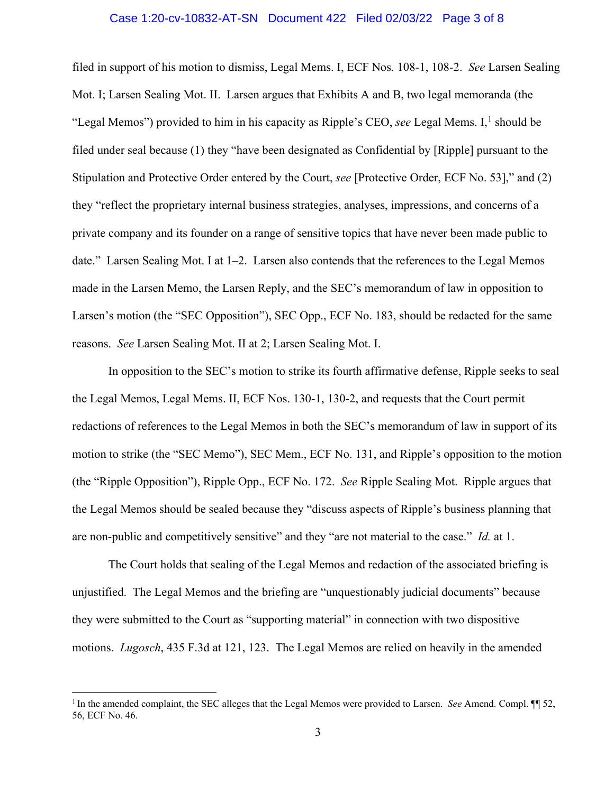# Case 1:20-cv-10832-AT-SN Document 422 Filed 02/03/22 Page 3 of 8

filed in support of his motion to dismiss, Legal Mems. I, ECF Nos. 108-1, 108-2. *See* Larsen Sealing Mot. I; Larsen Sealing Mot. II. Larsen argues that Exhibits A and B, two legal memoranda (the "Legal Memos") provided to him in his capacity as Ripple's CEO, *see* Legal Mems. I, <sup>1</sup> should be filed under seal because (1) they "have been designated as Confidential by [Ripple] pursuant to the Stipulation and Protective Order entered by the Court, *see* [Protective Order, ECF No. 53]," and (2) they "reflect the proprietary internal business strategies, analyses, impressions, and concerns of a private company and its founder on a range of sensitive topics that have never been made public to date." Larsen Sealing Mot. I at 1–2. Larsen also contends that the references to the Legal Memos made in the Larsen Memo, the Larsen Reply, and the SEC's memorandum of law in opposition to Larsen's motion (the "SEC Opposition"), SEC Opp., ECF No. 183, should be redacted for the same reasons. *See* Larsen Sealing Mot. II at 2; Larsen Sealing Mot. I.

In opposition to the SEC's motion to strike its fourth affirmative defense, Ripple seeks to seal the Legal Memos, Legal Mems. II, ECF Nos. 130-1, 130-2, and requests that the Court permit redactions of references to the Legal Memos in both the SEC's memorandum of law in support of its motion to strike (the "SEC Memo"), SEC Mem., ECF No. 131, and Ripple's opposition to the motion (the "Ripple Opposition"), Ripple Opp., ECF No. 172. *See* Ripple Sealing Mot. Ripple argues that the Legal Memos should be sealed because they "discuss aspects of Ripple's business planning that are non-public and competitively sensitive" and they "are not material to the case." *Id.* at 1.

The Court holds that sealing of the Legal Memos and redaction of the associated briefing is unjustified. The Legal Memos and the briefing are "unquestionably judicial documents" because they were submitted to the Court as "supporting material" in connection with two dispositive motions. *Lugosch*, 435 F.3d at 121, 123. The Legal Memos are relied on heavily in the amended

<sup>&</sup>lt;sup>1</sup> In the amended complaint, the SEC alleges that the Legal Memos were provided to Larsen. *See* Amend. Compl.  $\P$  52, 56, ECF No. 46.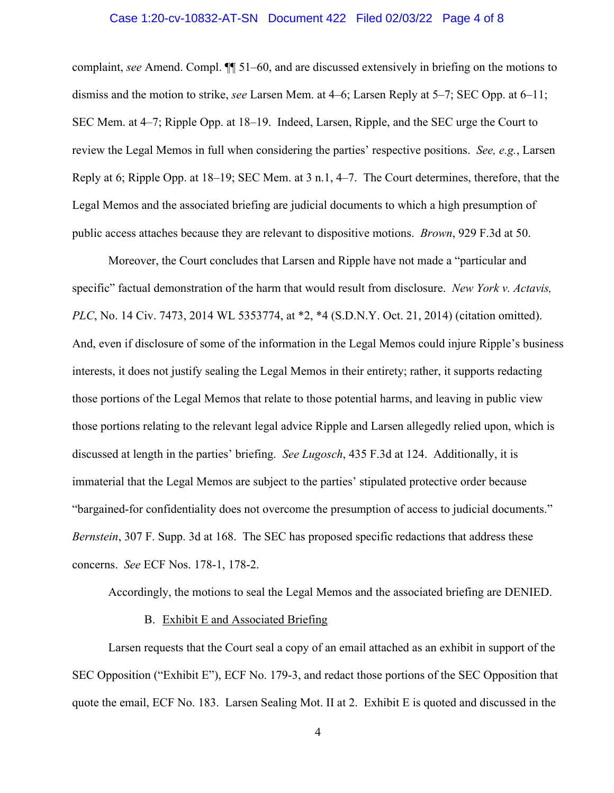# Case 1:20-cv-10832-AT-SN Document 422 Filed 02/03/22 Page 4 of 8

complaint, *see* Amend. Compl. ¶¶ 51–60, and are discussed extensively in briefing on the motions to dismiss and the motion to strike, *see* Larsen Mem. at 4–6; Larsen Reply at 5–7; SEC Opp. at 6–11; SEC Mem. at 4–7; Ripple Opp. at 18–19. Indeed, Larsen, Ripple, and the SEC urge the Court to review the Legal Memos in full when considering the parties' respective positions. *See, e.g.*, Larsen Reply at 6; Ripple Opp. at 18–19; SEC Mem. at 3 n.1, 4–7. The Court determines, therefore, that the Legal Memos and the associated briefing are judicial documents to which a high presumption of public access attaches because they are relevant to dispositive motions. *Brown*, 929 F.3d at 50.

Moreover, the Court concludes that Larsen and Ripple have not made a "particular and specific" factual demonstration of the harm that would result from disclosure. *New York v. Actavis, PLC*, No. 14 Civ. 7473, 2014 WL 5353774, at \*2, \*4 (S.D.N.Y. Oct. 21, 2014) (citation omitted). And, even if disclosure of some of the information in the Legal Memos could injure Ripple's business interests, it does not justify sealing the Legal Memos in their entirety; rather, it supports redacting those portions of the Legal Memos that relate to those potential harms, and leaving in public view those portions relating to the relevant legal advice Ripple and Larsen allegedly relied upon, which is discussed at length in the parties' briefing. *See Lugosch*, 435 F.3d at 124. Additionally, it is immaterial that the Legal Memos are subject to the parties' stipulated protective order because "bargained-for confidentiality does not overcome the presumption of access to judicial documents." *Bernstein*, 307 F. Supp. 3d at 168. The SEC has proposed specific redactions that address these concerns. *See* ECF Nos. 178-1, 178-2.

Accordingly, the motions to seal the Legal Memos and the associated briefing are DENIED.

# B. Exhibit E and Associated Briefing

Larsen requests that the Court seal a copy of an email attached as an exhibit in support of the SEC Opposition ("Exhibit E"), ECF No. 179-3, and redact those portions of the SEC Opposition that quote the email, ECF No. 183. Larsen Sealing Mot. II at 2. Exhibit E is quoted and discussed in the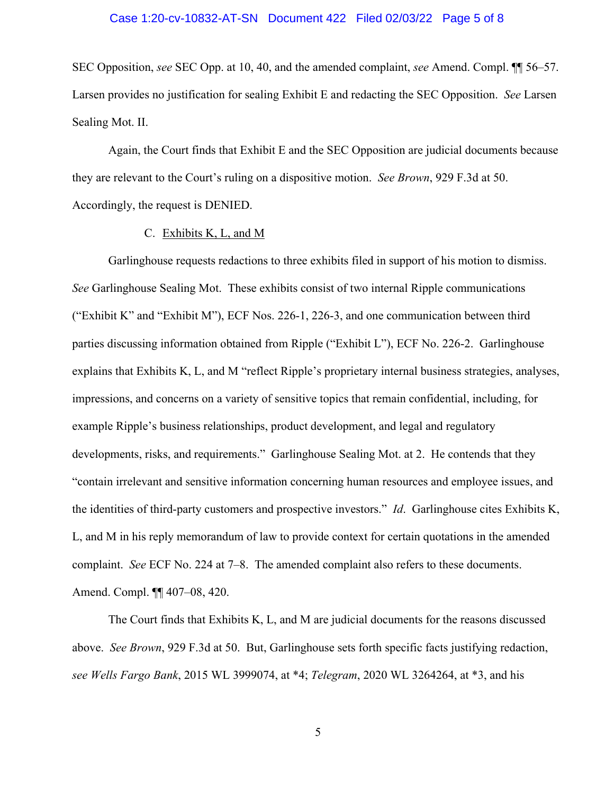#### Case 1:20-cv-10832-AT-SN Document 422 Filed 02/03/22 Page 5 of 8

SEC Opposition, *see* SEC Opp. at 10, 40, and the amended complaint, *see* Amend. Compl. ¶¶ 56–57. Larsen provides no justification for sealing Exhibit E and redacting the SEC Opposition. *See* Larsen Sealing Mot. II.

Again, the Court finds that Exhibit E and the SEC Opposition are judicial documents because they are relevant to the Court's ruling on a dispositive motion. *See Brown*, 929 F.3d at 50. Accordingly, the request is DENIED.

### C. Exhibits K, L, and M

Garlinghouse requests redactions to three exhibits filed in support of his motion to dismiss. *See* Garlinghouse Sealing Mot. These exhibits consist of two internal Ripple communications ("Exhibit K" and "Exhibit M"), ECF Nos. 226-1, 226-3, and one communication between third parties discussing information obtained from Ripple ("Exhibit L"), ECF No. 226-2. Garlinghouse explains that Exhibits K, L, and M "reflect Ripple's proprietary internal business strategies, analyses, impressions, and concerns on a variety of sensitive topics that remain confidential, including, for example Ripple's business relationships, product development, and legal and regulatory developments, risks, and requirements." Garlinghouse Sealing Mot. at 2. He contends that they "contain irrelevant and sensitive information concerning human resources and employee issues, and the identities of third-party customers and prospective investors." *Id*. Garlinghouse cites Exhibits K, L, and M in his reply memorandum of law to provide context for certain quotations in the amended complaint. *See* ECF No. 224 at 7–8. The amended complaint also refers to these documents. Amend. Compl. ¶¶ 407–08, 420.

The Court finds that Exhibits K, L, and M are judicial documents for the reasons discussed above. *See Brown*, 929 F.3d at 50. But, Garlinghouse sets forth specific facts justifying redaction, *see Wells Fargo Bank*, 2015 WL 3999074, at \*4; *Telegram*, 2020 WL 3264264, at \*3, and his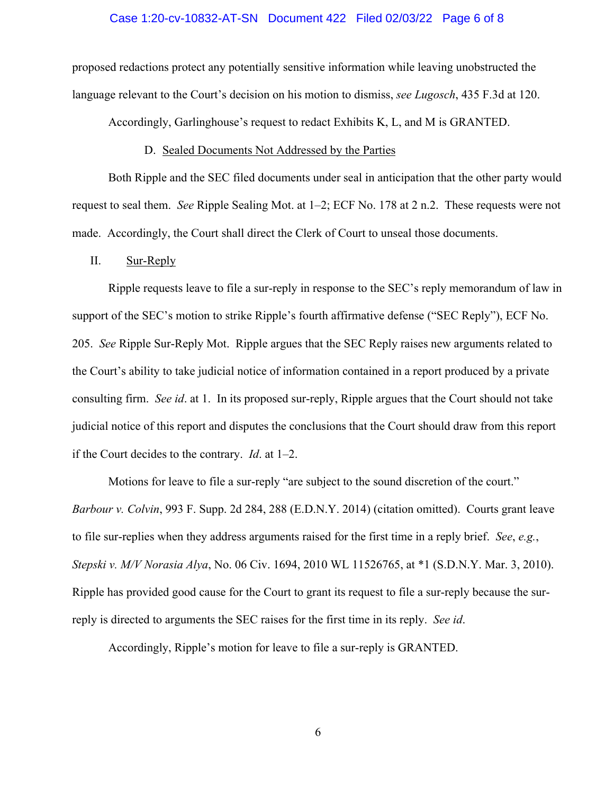#### Case 1:20-cv-10832-AT-SN Document 422 Filed 02/03/22 Page 6 of 8

proposed redactions protect any potentially sensitive information while leaving unobstructed the language relevant to the Court's decision on his motion to dismiss, *see Lugosch*, 435 F.3d at 120.

Accordingly, Garlinghouse's request to redact Exhibits K, L, and M is GRANTED.

#### D. Sealed Documents Not Addressed by the Parties

Both Ripple and the SEC filed documents under seal in anticipation that the other party would request to seal them. *See* Ripple Sealing Mot. at 1–2; ECF No. 178 at 2 n.2. These requests were not made. Accordingly, the Court shall direct the Clerk of Court to unseal those documents.

### II. Sur-Reply

Ripple requests leave to file a sur-reply in response to the SEC's reply memorandum of law in support of the SEC's motion to strike Ripple's fourth affirmative defense ("SEC Reply"), ECF No. 205. *See* Ripple Sur-Reply Mot. Ripple argues that the SEC Reply raises new arguments related to the Court's ability to take judicial notice of information contained in a report produced by a private consulting firm. *See id*. at 1. In its proposed sur-reply, Ripple argues that the Court should not take judicial notice of this report and disputes the conclusions that the Court should draw from this report if the Court decides to the contrary. *Id*. at 1–2.

Motions for leave to file a sur-reply "are subject to the sound discretion of the court." *Barbour v. Colvin*, 993 F. Supp. 2d 284, 288 (E.D.N.Y. 2014) (citation omitted). Courts grant leave to file sur-replies when they address arguments raised for the first time in a reply brief. *See*, *e.g.*, *Stepski v. M/V Norasia Alya*, No. 06 Civ. 1694, 2010 WL 11526765, at \*1 (S.D.N.Y. Mar. 3, 2010). Ripple has provided good cause for the Court to grant its request to file a sur-reply because the surreply is directed to arguments the SEC raises for the first time in its reply. *See id*.

Accordingly, Ripple's motion for leave to file a sur-reply is GRANTED.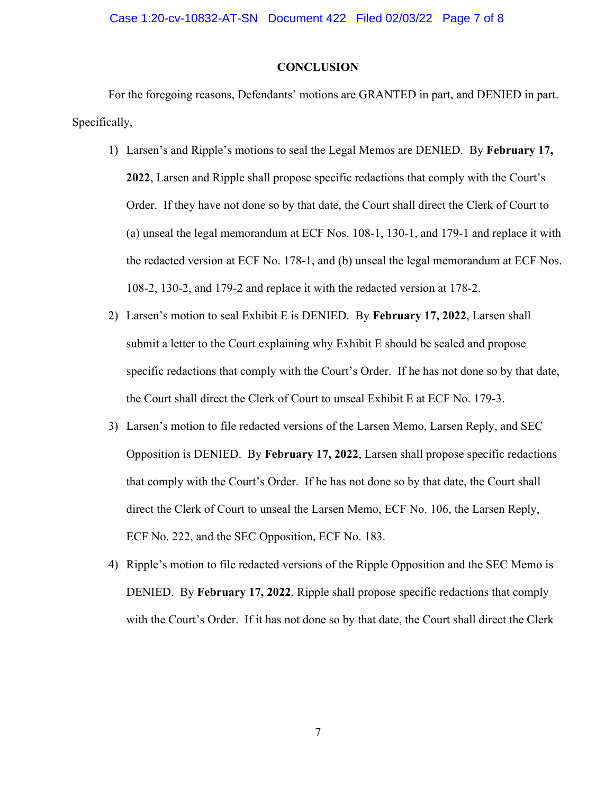### Case 1:20-cv-10832-AT-SN Document 422 Filed 02/03/22 Page 7 of 8

# **CONCLUSION**

For the foregoing reasons, Defendants' motions are GRANTED in part, and DENIED in part. Specifically,

- 1) Larsen's and Ripple's motions to seal the Legal Memos are DENIED. By **February 17, 2022**, Larsen and Ripple shall propose specific redactions that comply with the Court's Order. If they have not done so by that date, the Court shall direct the Clerk of Court to (a) unseal the legal memorandum at ECF Nos. 108-1, 130-1, and 179-1 and replace it with the redacted version at ECF No. 178-1, and (b) unseal the legal memorandum at ECF Nos. 108-2, 130-2, and 179-2 and replace it with the redacted version at 178-2.
- 2) Larsen's motion to seal Exhibit E is DENIED. By **February 17, 2022**, Larsen shall submit a letter to the Court explaining why Exhibit E should be sealed and propose specific redactions that comply with the Court's Order. If he has not done so by that date, the Court shall direct the Clerk of Court to unseal Exhibit E at ECF No. 179-3.
- 3) Larsen's motion to file redacted versions of the Larsen Memo, Larsen Reply, and SEC Opposition is DENIED. By **February 17, 2022**, Larsen shall propose specific redactions that comply with the Court's Order. If he has not done so by that date, the Court shall direct the Clerk of Court to unseal the Larsen Memo, ECF No. 106, the Larsen Reply, ECF No. 222, and the SEC Opposition, ECF No. 183.
- 4) Ripple's motion to file redacted versions of the Ripple Opposition and the SEC Memo is DENIED. By **February 17, 2022**, Ripple shall propose specific redactions that comply with the Court's Order. If it has not done so by that date, the Court shall direct the Clerk